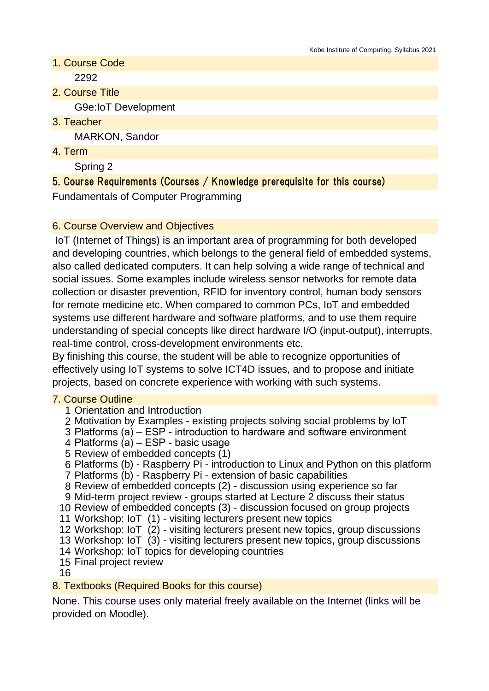- 1. Course Code 2292
- 2. Course Title G9e:IoT Development
- 3. Teacher

MARKON, Sandor

4. Term

Spring 2

# 5. Course Requirements (Courses / Knowledge prerequisite for this course)

Fundamentals of Computer Programming

# 6. Course Overview and Objectives

 IoT (Internet of Things) is an important area of programming for both developed and developing countries, which belongs to the general field of embedded systems, also called dedicated computers. It can help solving a wide range of technical and social issues. Some examples include wireless sensor networks for remote data collection or disaster prevention, RFID for inventory control, human body sensors for remote medicine etc. When compared to common PCs, IoT and embedded systems use different hardware and software platforms, and to use them require understanding of special concepts like direct hardware I/O (input-output), interrupts, real-time control, cross-development environments etc.

By finishing this course, the student will be able to recognize opportunities of effectively using IoT systems to solve ICT4D issues, and to propose and initiate projects, based on concrete experience with working with such systems.

## 7. Course Outline

- 1 Orientation and Introduction
- 2 Motivation by Examples existing projects solving social problems by IoT
- 3 Platforms (a) ESP introduction to hardware and software environment
- 4 Platforms (a) ESP basic usage
- 5 Review of embedded concepts (1)
- 6 Platforms (b) Raspberry Pi introduction to Linux and Python on this platform
- 7 Platforms (b) Raspberry Pi extension of basic capabilities
- 8 Review of embedded concepts (2) discussion using experience so far
- 9 Mid-term project review groups started at Lecture 2 discuss their status
- 10 Review of embedded concepts (3) discussion focused on group projects
- 11 Workshop: IoT (1) visiting lecturers present new topics
- 12 Workshop: IoT (2) visiting lecturers present new topics, group discussions
- 13 Workshop: IoT (3) visiting lecturers present new topics, group discussions
- 14 Workshop: IoT topics for developing countries
- 15 Final project review

16

## 8. Textbooks (Required Books for this course)

None. This course uses only material freely available on the Internet (links will be provided on Moodle).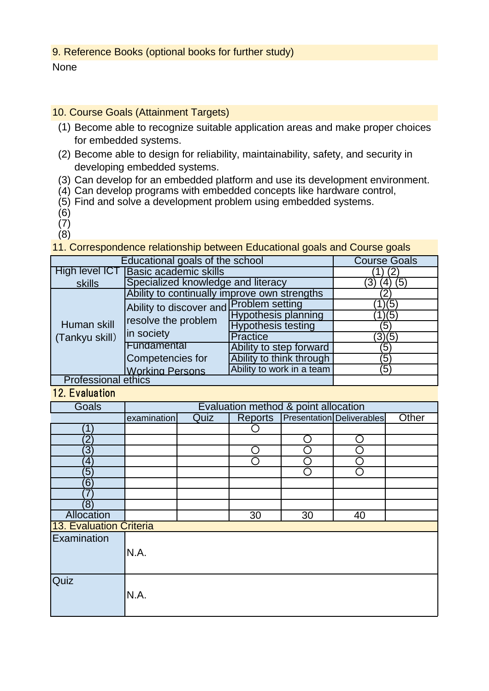### 9. Reference Books (optional books for further study)

### None

### 10. Course Goals (Attainment Targets)

- (1) Become able to recognize suitable application areas and make proper choices for embedded systems.
- (2) Become able to design for reliability, maintainability, safety, and security in developing embedded systems.
- (3) Can develop for an embedded platform and use its development environment.
- (4) Can develop programs with embedded concepts like hardware control,
- (5) Find and solve a development problem using embedded systems.
- (6)
- (7)
- (8)

11. Correspondence relationship between Educational goals and Course goals

|                               | Educational goals of the school              |                            |        |
|-------------------------------|----------------------------------------------|----------------------------|--------|
|                               | <b>Course Goals</b>                          |                            |        |
| High level ICT                | <b>Basic academic skills</b>                 |                            |        |
| skills                        | Specialized knowledge and literacy           | ΄5                         |        |
| Human skill<br>(Tankyu skill) | Ability to continually improve own strengths |                            |        |
|                               | Ability to discover and Problem setting      |                            | (5)    |
|                               | resolve the problem                          | <b>Hypothesis planning</b> | (5)    |
|                               |                                              | <b>Hypothesis testing</b>  | 5      |
|                               | in society                                   | <b>Practice</b>            | (3)(5) |
|                               | Fundamental                                  | Ability to step forward    | Έ5     |
|                               | Competencies for                             | Ability to think through   | ΄5     |
|                               | <b>Working Persons</b>                       | Ability to work in a team  | (5)    |
| <b>Professional ethics</b>    |                                              |                            |        |

### 12 **Evaluation**

| Goals                   | Evaluation method & point allocation |             |         |    |                                  |       |
|-------------------------|--------------------------------------|-------------|---------|----|----------------------------------|-------|
|                         | examination                          | <b>Quiz</b> | Reports |    | <b>Presentation Deliverables</b> | Other |
| 1                       |                                      |             |         |    |                                  |       |
| $\overline{2}$          |                                      |             |         |    | e.                               |       |
| $\overline{3}$          |                                      |             |         |    |                                  |       |
| $\bf 4$                 |                                      |             |         |    |                                  |       |
| $\overline{5}$          |                                      |             |         | ◠  | ◠                                |       |
| 6                       |                                      |             |         |    |                                  |       |
|                         |                                      |             |         |    |                                  |       |
| (8)                     |                                      |             |         |    |                                  |       |
| Allocation              |                                      |             | 30      | 30 | 40                               |       |
| 13. Evaluation Criteria |                                      |             |         |    |                                  |       |
| Examination             |                                      |             |         |    |                                  |       |
|                         | N.A.                                 |             |         |    |                                  |       |
|                         |                                      |             |         |    |                                  |       |
|                         |                                      |             |         |    |                                  |       |
| Quiz                    |                                      |             |         |    |                                  |       |
|                         | N.A.                                 |             |         |    |                                  |       |
|                         |                                      |             |         |    |                                  |       |
|                         |                                      |             |         |    |                                  |       |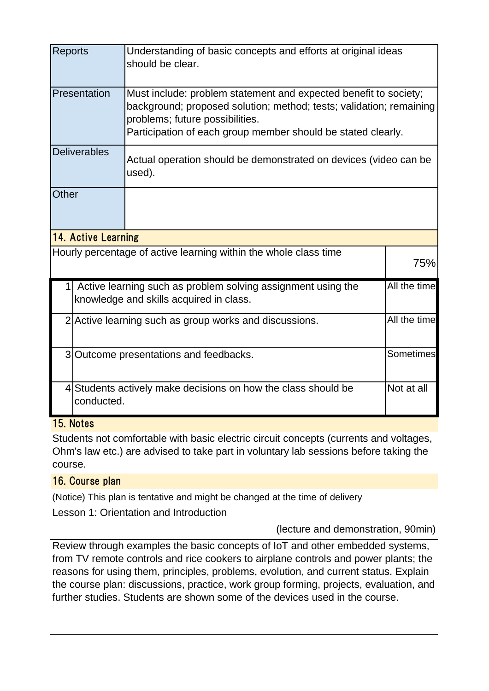| <b>Reports</b>                                                   |                                                                                                                         | Understanding of basic concepts and efforts at original ideas<br>should be clear.                                                                                                                                                          |  |  |  |  |
|------------------------------------------------------------------|-------------------------------------------------------------------------------------------------------------------------|--------------------------------------------------------------------------------------------------------------------------------------------------------------------------------------------------------------------------------------------|--|--|--|--|
|                                                                  | Presentation                                                                                                            | Must include: problem statement and expected benefit to society;<br>background; proposed solution; method; tests; validation; remaining<br>problems; future possibilities.<br>Participation of each group member should be stated clearly. |  |  |  |  |
|                                                                  | <b>Deliverables</b>                                                                                                     | Actual operation should be demonstrated on devices (video can be<br>used).                                                                                                                                                                 |  |  |  |  |
| <b>Other</b>                                                     |                                                                                                                         |                                                                                                                                                                                                                                            |  |  |  |  |
| 14. Active Learning                                              |                                                                                                                         |                                                                                                                                                                                                                                            |  |  |  |  |
| Hourly percentage of active learning within the whole class time |                                                                                                                         |                                                                                                                                                                                                                                            |  |  |  |  |
|                                                                  | All the time<br>Active learning such as problem solving assignment using the<br>knowledge and skills acquired in class. |                                                                                                                                                                                                                                            |  |  |  |  |
|                                                                  | All the time<br>2 Active learning such as group works and discussions.                                                  |                                                                                                                                                                                                                                            |  |  |  |  |
|                                                                  | 3 Outcome presentations and feedbacks.                                                                                  |                                                                                                                                                                                                                                            |  |  |  |  |
|                                                                  | Not at all<br>4 Students actively make decisions on how the class should be<br>conducted.                               |                                                                                                                                                                                                                                            |  |  |  |  |

# 15. Notes

Students not comfortable with basic electric circuit concepts (currents and voltages, Ohm's law etc.) are advised to take part in voluntary lab sessions before taking the course.

## 16. Course plan

(Notice) This plan is tentative and might be changed at the time of delivery

Lesson 1: Orientation and Introduction

(lecture and demonstration, 90min)

Review through examples the basic concepts of IoT and other embedded systems, from TV remote controls and rice cookers to airplane controls and power plants; the reasons for using them, principles, problems, evolution, and current status. Explain the course plan: discussions, practice, work group forming, projects, evaluation, and further studies. Students are shown some of the devices used in the course.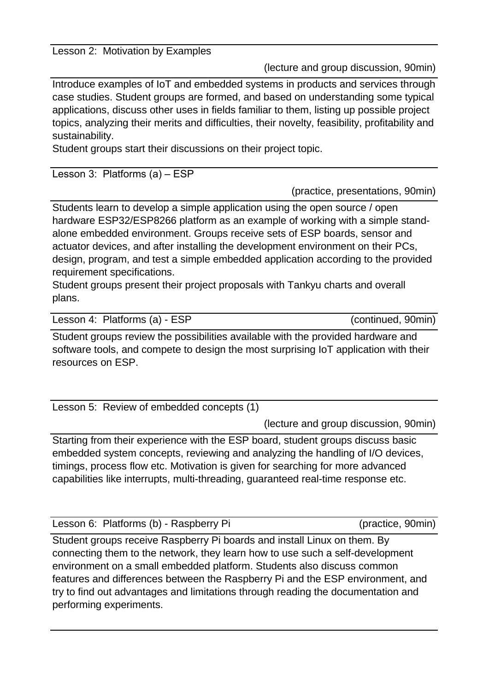#### Lesson 2: Motivation by Examples

(lecture and group discussion, 90min)

Introduce examples of IoT and embedded systems in products and services through case studies. Student groups are formed, and based on understanding some typical applications, discuss other uses in fields familiar to them, listing up possible project topics, analyzing their merits and difficulties, their novelty, feasibility, profitability and sustainability.

Student groups start their discussions on their project topic.

Lesson 3: Platforms (a) – ESP

(practice, presentations, 90min)

Students learn to develop a simple application using the open source / open hardware ESP32/ESP8266 platform as an example of working with a simple standalone embedded environment. Groups receive sets of ESP boards, sensor and actuator devices, and after installing the development environment on their PCs, design, program, and test a simple embedded application according to the provided requirement specifications.

Student groups present their project proposals with Tankyu charts and overall plans.

Lesson 4: Platforms (a) - ESP (continued, 90min)

Student groups review the possibilities available with the provided hardware and software tools, and compete to design the most surprising IoT application with their resources on ESP.

Lesson 5: Review of embedded concepts (1)

(lecture and group discussion, 90min)

Starting from their experience with the ESP board, student groups discuss basic embedded system concepts, reviewing and analyzing the handling of I/O devices, timings, process flow etc. Motivation is given for searching for more advanced capabilities like interrupts, multi-threading, guaranteed real-time response etc.

Lesson 6: Platforms (b) - Raspberry Pi (practice, 90min)

Student groups receive Raspberry Pi boards and install Linux on them. By connecting them to the network, they learn how to use such a self-development environment on a small embedded platform. Students also discuss common features and differences between the Raspberry Pi and the ESP environment, and try to find out advantages and limitations through reading the documentation and performing experiments.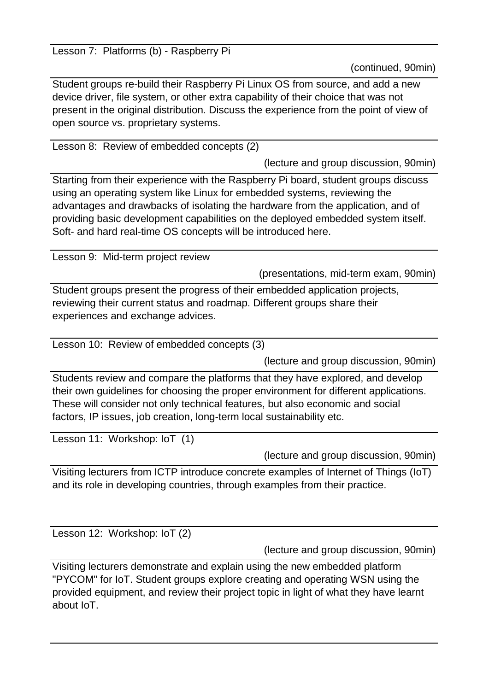Lesson 7: Platforms (b) - Raspberry Pi

(continued, 90min)

Student groups re-build their Raspberry Pi Linux OS from source, and add a new device driver, file system, or other extra capability of their choice that was not present in the original distribution. Discuss the experience from the point of view of open source vs. proprietary systems.

Lesson 8: Review of embedded concepts (2)

(lecture and group discussion, 90min)

Starting from their experience with the Raspberry Pi board, student groups discuss using an operating system like Linux for embedded systems, reviewing the advantages and drawbacks of isolating the hardware from the application, and of providing basic development capabilities on the deployed embedded system itself. Soft- and hard real-time OS concepts will be introduced here.

Lesson 9: Mid-term project review

(presentations, mid-term exam, 90min)

Student groups present the progress of their embedded application projects, reviewing their current status and roadmap. Different groups share their experiences and exchange advices.

Lesson 10: Review of embedded concepts (3)

(lecture and group discussion, 90min)

Students review and compare the platforms that they have explored, and develop their own guidelines for choosing the proper environment for different applications. These will consider not only technical features, but also economic and social factors, IP issues, job creation, long-term local sustainability etc.

Lesson 11: Workshop: IoT (1)

(lecture and group discussion, 90min)

Visiting lecturers from ICTP introduce concrete examples of Internet of Things (IoT) and its role in developing countries, through examples from their practice.

Lesson 12: Workshop: IoT (2)

(lecture and group discussion, 90min)

Visiting lecturers demonstrate and explain using the new embedded platform "PYCOM" for IoT. Student groups explore creating and operating WSN using the provided equipment, and review their project topic in light of what they have learnt about IoT.